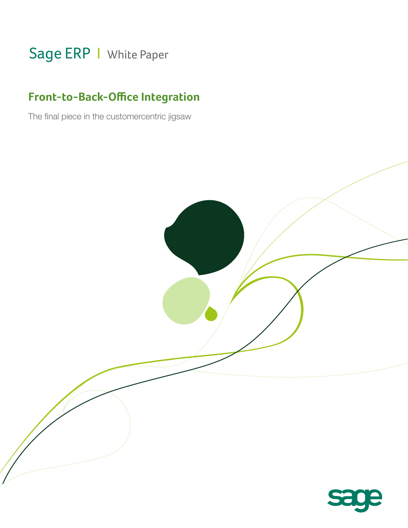# Sage ERP | White Paper

# **Front-to-Back-Office Integration**

The final piece in the customercentric jigsaw

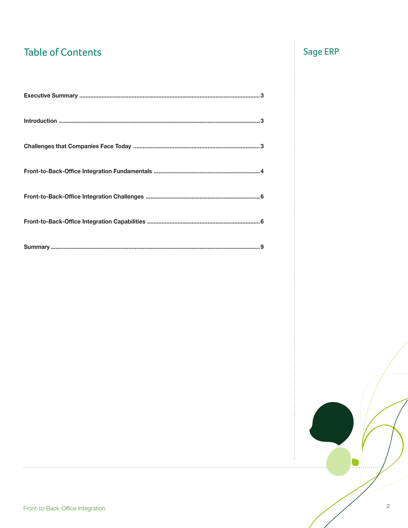# **Table of Contents**

# Sage ERP

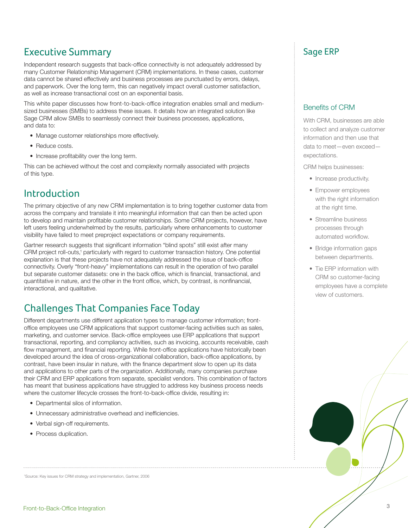## Executive Summary **Executive Summary** Sage ERP

Independent research suggests that back-office connectivity is not adequately addressed by many Customer Relationship Management (CRM) implementations. In these cases, customer data cannot be shared effectively and business processes are punctuated by errors, delays, and paperwork. Over the long term, this can negatively impact overall customer satisfaction, as well as increase transactional cost on an exponential basis.

This white paper discusses how front-to-back-office integration enables small and mediumsized businesses (SMBs) to address these issues. It details how an integrated solution like Sage CRM allow SMBs to seamlessly connect their business processes, applications, and data to:

- Manage customer relationships more effectively.
- Reduce costs.
- Increase profitability over the long term.

This can be achieved without the cost and complexity normally associated with projects of this type.

## Introduction

The primary objective of any new CRM implementation is to bring together customer data from across the company and translate it into meaningful information that can then be acted upon to develop and maintain profitable customer relationships. Some CRM projects, however, have left users feeling underwhelmed by the results, particularly where enhancements to customer visibility have failed to meet preproject expectations or company requirements.

Gartner research suggests that significant information "blind spots" still exist after many CRM project roll-outs,<sup>1</sup> particularly with regard to customer transaction history. One potential explanation is that these projects have not adequately addressed the issue of back-office connectivity. Overly "front-heavy" implementations can result in the operation of two parallel but separate customer datasets: one in the back office, which is financial, transactional, and quantitative in nature, and the other in the front office, which, by contrast, is nonfinancial, interactional, and qualitative.

# Challenges That Companies Face Today

Different departments use different application types to manage customer information; frontoffice employees use CRM applications that support customer-facing activities such as sales, marketing, and customer service. Back-office employees use ERP applications that support transactional, reporting, and compliancy activities, such as invoicing, accounts receivable, cash flow management, and financial reporting. While front-office applications have historically been developed around the idea of cross-organizational collaboration, back-office applications, by contrast, have been insular in nature, with the finance department slow to open up its data and applications to other parts of the organization. Additionally, many companies purchase their CRM and ERP applications from separate, specialist vendors. This combination of factors has meant that business applications have struggled to address key business process needs where the customer lifecycle crosses the front-to-back-office divide, resulting in:

- Departmental silos of information.
- Unnecessary administrative overhead and inefficiencies.

- Verbal sign-off requirements.
- Process duplication.

1 Source: Key issues for CRM strategy and implementation, Gartner, 2006

### Benefits of CRM

With CRM, businesses are able to collect and analyze customer information and then use that data to meet—even exceed expectations.

CRM helps businesses:

- Increase productivity.
- Empower employees with the right information at the right time.
- Streamline business processes through automated workflow.
- Bridge information gaps between departments.
- Tie ERP information with CRM so customer-facing employees have a complete view of customers.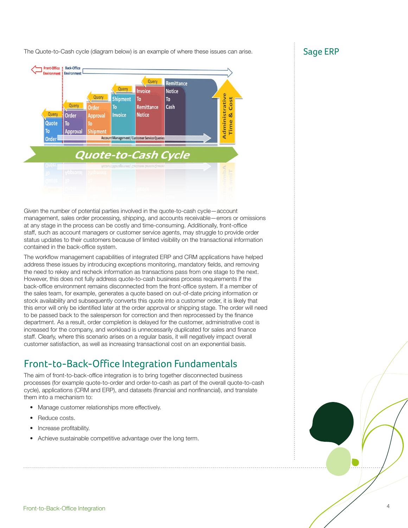The Quote-to-Cash cycle (diagram below) is an example of where these issues can arise.  $S^3$  Sage ERP



Given the number of potential parties involved in the quote-to-cash cycle—account management, sales order processing, shipping, and accounts receivable—errors or omissions at any stage in the process can be costly and time-consuming. Additionally, front-office staff, such as account managers or customer service agents, may struggle to provide order status updates to their customers because of limited visibility on the transactional information contained in the back-office system.

The workflow management capabilities of integrated ERP and CRM applications have helped address these issues by introducing exceptions monitoring, mandatory fields, and removing the need to rekey and recheck information as transactions pass from one stage to the next. However, this does not fully address quote-to-cash business process requirements if the back-office environment remains disconnected from the front-office system. If a member of the sales team, for example, generates a quote based on out-of-date pricing information or stock availability and subsequently converts this quote into a customer order, it is likely that this error will only be identified later at the order approval or shipping stage. The order will need to be passed back to the salesperson for correction and then reprocessed by the finance department. As a result, order completion is delayed for the customer, administrative cost is increased for the company, and workload is unnecessarily duplicated for sales and finance staff. Clearly, where this scenario arises on a regular basis, it will negatively impact overall customer satisfaction, as well as increasing transactional cost on an exponential basis.

# Front-to-Back-Office Integration Fundamentals

The aim of front-to-back-office integration is to bring together disconnected business processes (for example quote-to-order and order-to-cash as part of the overall quote-to-cash cycle), applications (CRM and ERP), and datasets (financial and nonfinancial), and translate them into a mechanism to:

- Manage customer relationships more effectively.
- Reduce costs.
- Increase profitability.
- Achieve sustainable competitive advantage over the long term.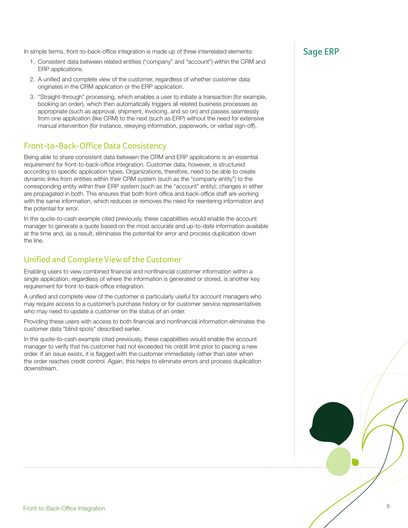In simple terms, front-to-back-office integration is made up of three interrelated elements:  $Sage$   $ERP$ 

- 1. Consistent data between related entities ("company" and "account") within the CRM and ERP applications.
- 2. A unified and complete view of the customer, regardless of whether customer data originates in the CRM application or the ERP application.
- 3. "Straight-through" processing, which enables a user to initiate a transaction (for example, booking an order), which then automatically triggers all related business processes as appropriate (such as approval, shipment, invoicing, and so on) and passes seamlessly from one application (like CRM) to the next (such as ERP) without the need for extensive manual intervention (for instance, rekeying information, paperwork, or verbal sign-off).

### Front-to-Back-Office Data Consistency

Being able to share consistent data between the CRM and ERP applications is an essential requirement for front-to-back-office integration. Customer data, however, is structured according to specific application types. Organizations, therefore, need to be able to create dynamic links from entities within their CRM system (such as the "company entity") to the corresponding entity within their ERP system (such as the "account" entity); changes in either are propagated in both. This ensures that both front-office and back-office staff are working with the same information, which reduces or removes the need for reentering information and the potential for error.

In the quote-to-cash example cited previously, these capabilities would enable the account manager to generate a quote based on the most accurate and up-to-date information available at the time and, as a result, eliminates the potential for error and process duplication down the line.

### Unified and Complete View of the Customer

Enabling users to view combined financial and nonfinancial customer information within a single application, regardless of where the information is generated or stored, is another key requirement for front-to-back-office integration.

A unified and complete view of the customer is particularly useful for account managers who may require access to a customer's purchase history or for customer service representatives who may need to update a customer on the status of an order.

Providing these users with access to both financial and nonfinancial information eliminates the customer data "blind spots" described earlier.

In the quote-to-cash example cited previously, these capabilities would enable the account manager to verify that his customer had not exceeded his credit limit prior to placing a new order. If an issue exists, it is flagged with the customer immediately rather than later when the order reaches credit control. Again, this helps to eliminate errors and process duplication downstream.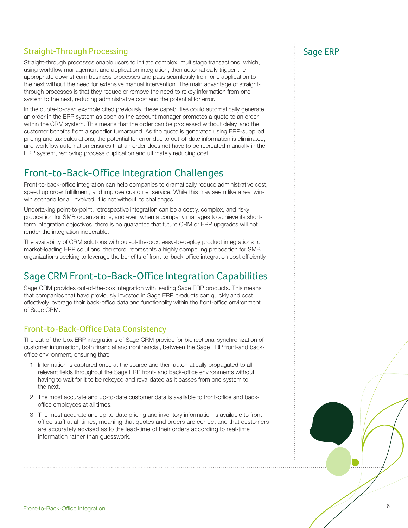### Straight-Through Processing Straight-Through Processing

Straight-through processes enable users to initiate complex, multistage transactions, which, using workflow management and application integration, then automatically trigger the appropriate downstream business processes and pass seamlessly from one application to the next without the need for extensive manual intervention. The main advantage of straightthrough processes is that they reduce or remove the need to rekey information from one system to the next, reducing administrative cost and the potential for error.

In the quote-to-cash example cited previously, these capabilities could automatically generate an order in the ERP system as soon as the account manager promotes a quote to an order within the CRM system. This means that the order can be processed without delay, and the customer benefits from a speedier turnaround. As the quote is generated using ERP-supplied pricing and tax calculations, the potential for error due to out-of-date information is eliminated, and workflow automation ensures that an order does not have to be recreated manually in the ERP system, removing process duplication and ultimately reducing cost.

# Front-to-Back-Office Integration Challenges

Front-to-back-office integration can help companies to dramatically reduce administrative cost, speed up order fulfillment, and improve customer service. While this may seem like a real winwin scenario for all involved, it is not without its challenges.

Undertaking point-to-point, retrospective integration can be a costly, complex, and risky proposition for SMB organizations, and even when a company manages to achieve its shortterm integration objectives, there is no guarantee that future CRM or ERP upgrades will not render the integration inoperable.

The availability of CRM solutions with out-of-the-box, easy-to-deploy product integrations to market-leading ERP solutions, therefore, represents a highly compelling proposition for SMB organizations seeking to leverage the benefits of front-to-back-office integration cost efficiently.

## Sage CRM Front-to-Back-Office Integration Capabilities

Sage CRM provides out-of-the-box integration with leading Sage ERP products. This means that companies that have previously invested in Sage ERP products can quickly and cost effectively leverage their back-office data and functionality within the front-office environment of Sage CRM.

### Front-to-Back-Office Data Consistency

The out-of-the-box ERP integrations of Sage CRM provide for bidirectional synchronization of customer information, both financial and nonfinancial, between the Sage ERP front-and backoffice environment, ensuring that:

- 1. Information is captured once at the source and then automatically propagated to all relevant fields throughout the Sage ERP front- and back-office environments without having to wait for it to be rekeyed and revalidated as it passes from one system to the next.
- 2. The most accurate and up-to-date customer data is available to front-office and backoffice employees at all times.
- 3. The most accurate and up-to-date pricing and inventory information is available to frontoffice staff at all times, meaning that quotes and orders are correct and that customers are accurately advised as to the lead-time of their orders according to real-time information rather than guesswork.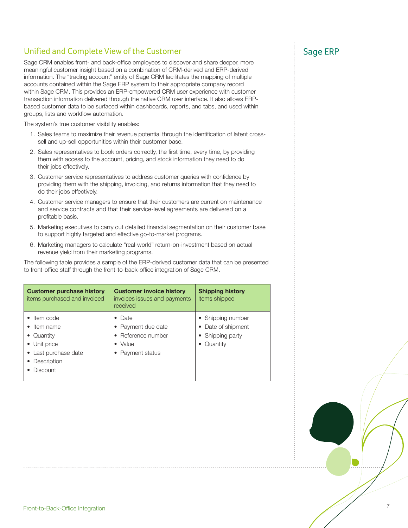### Unified and Complete View of the Customer Sage ERP Sage ERP

Sage CRM enables front- and back-office employees to discover and share deeper, more meaningful customer insight based on a combination of CRM-derived and ERP-derived information. The "trading account" entity of Sage CRM facilitates the mapping of multiple accounts contained within the Sage ERP system to their appropriate company record within Sage CRM. This provides an ERP-empowered CRM user experience with customer transaction information delivered through the native CRM user interface. It also allows ERPbased customer data to be surfaced within dashboards, reports, and tabs, and used within groups, lists and workflow automation.

The system's true customer visibility enables:

- 1. Sales teams to maximize their revenue potential through the identification of latent crosssell and up-sell opportunities within their customer base.
- 2. Sales representatives to book orders correctly, the first time, every time, by providing them with access to the account, pricing, and stock information they need to do their jobs effectively.
- 3. Customer service representatives to address customer queries with confidence by providing them with the shipping, invoicing, and returns information that they need to do their jobs effectively.
- 4. Customer service managers to ensure that their customers are current on maintenance and service contracts and that their service-level agreements are delivered on a profitable basis.
- 5. Marketing executives to carry out detailed financial segmentation on their customer base to support highly targeted and effective go-to-market programs.
- 6. Marketing managers to calculate "real-world" return-on-investment based on actual revenue yield from their marketing programs.

The following table provides a sample of the ERP-derived customer data that can be presented to front-office staff through the front-to-back-office integration of Sage CRM.

| <b>Customer purchase history</b><br>items purchased and invoiced                                                                   | <b>Customer invoice history</b><br>invoices issues and payments<br>received                       | <b>Shipping history</b><br>items shipped                                  |
|------------------------------------------------------------------------------------------------------------------------------------|---------------------------------------------------------------------------------------------------|---------------------------------------------------------------------------|
| $\bullet$ Item code<br>$\bullet$ Item name<br>• Quantity<br>• Unit price<br>• Last purchase date<br>Description<br><b>Discount</b> | $\bullet$ Date<br>• Payment due date<br>• Reference number<br>$\bullet$ Value<br>• Payment status | • Shipping number<br>• Date of shipment<br>• Shipping party<br>• Quantity |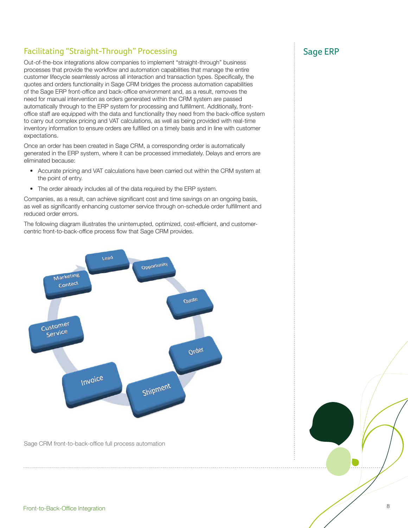### Facilitating "Straight-Through" Processing Sage ERP Sage ERP

Out-of-the-box integrations allow companies to implement "straight-through" business processes that provide the workflow and automation capabilities that manage the entire customer lifecycle seamlessly across all interaction and transaction types. Specifically, the quotes and orders functionality in Sage CRM bridges the process automation capabilities of the Sage ERP front-office and back-office environment and, as a result, removes the need for manual intervention as orders generated within the CRM system are passed automatically through to the ERP system for processing and fulfillment. Additionally, frontoffice staff are equipped with the data and functionality they need from the back-office system to carry out complex pricing and VAT calculations, as well as being provided with real-time inventory information to ensure orders are fulfilled on a timely basis and in line with customer expectations.

Once an order has been created in Sage CRM, a corresponding order is automatically generated in the ERP system, where it can be processed immediately. Delays and errors are eliminated because:

- Accurate pricing and VAT calculations have been carried out within the CRM system at the point of entry.
- The order already includes all of the data required by the ERP system.

Companies, as a result, can achieve significant cost and time savings on an ongoing basis, as well as significantly enhancing customer service through on-schedule order fulfillment and reduced order errors.

The following diagram illustrates the uninterrupted, optimized, cost-efficient, and customercentric front-to-back-office process flow that Sage CRM provides.



Sage CRM front-to-back-office full process automation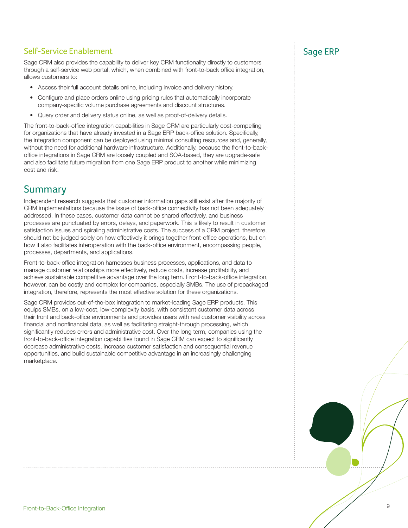### Self-Service Enablement Sage ERP

Sage CRM also provides the capability to deliver key CRM functionality directly to customers through a self-service web portal, which, when combined with front-to-back office integration, allows customers to:

- Access their full account details online, including invoice and delivery history.
- Configure and place orders online using pricing rules that automatically incorporate company-specific volume purchase agreements and discount structures.
- Query order and delivery status online, as well as proof-of-delivery details.

The front-to-back-office integration capabilities in Sage CRM are particularly cost-compelling for organizations that have already invested in a Sage ERP back-office solution. Specifically, the integration component can be deployed using minimal consulting resources and, generally, without the need for additional hardware infrastructure. Additionally, because the front-to-backoffice integrations in Sage CRM are loosely coupled and SOA-based, they are upgrade-safe and also facilitate future migration from one Sage ERP product to another while minimizing cost and risk.

### Summary

Independent research suggests that customer information gaps still exist after the majority of CRM implementations because the issue of back-office connectivity has not been adequately addressed. In these cases, customer data cannot be shared effectively, and business processes are punctuated by errors, delays, and paperwork. This is likely to result in customer satisfaction issues and spiraling administrative costs. The success of a CRM project, therefore, should not be judged solely on how effectively it brings together front-office operations, but on how it also facilitates interoperation with the back-office environment, encompassing people, processes, departments, and applications.

Front-to-back-office integration harnesses business processes, applications, and data to manage customer relationships more effectively, reduce costs, increase profitability, and achieve sustainable competitive advantage over the long term. Front-to-back-office integration, however, can be costly and complex for companies, especially SMBs. The use of prepackaged integration, therefore, represents the most effective solution for these organizations.

Sage CRM provides out-of-the-box integration to market-leading Sage ERP products. This equips SMBs, on a low-cost, low-complexity basis, with consistent customer data across their front and back-office environments and provides users with real customer visibility across financial and nonfinancial data, as well as facilitating straight-through processing, which significantly reduces errors and administrative cost. Over the long term, companies using the front-to-back-office integration capabilities found in Sage CRM can expect to significantly decrease administrative costs, increase customer satisfaction and consequential revenue opportunities, and build sustainable competitive advantage in an increasingly challenging marketplace.